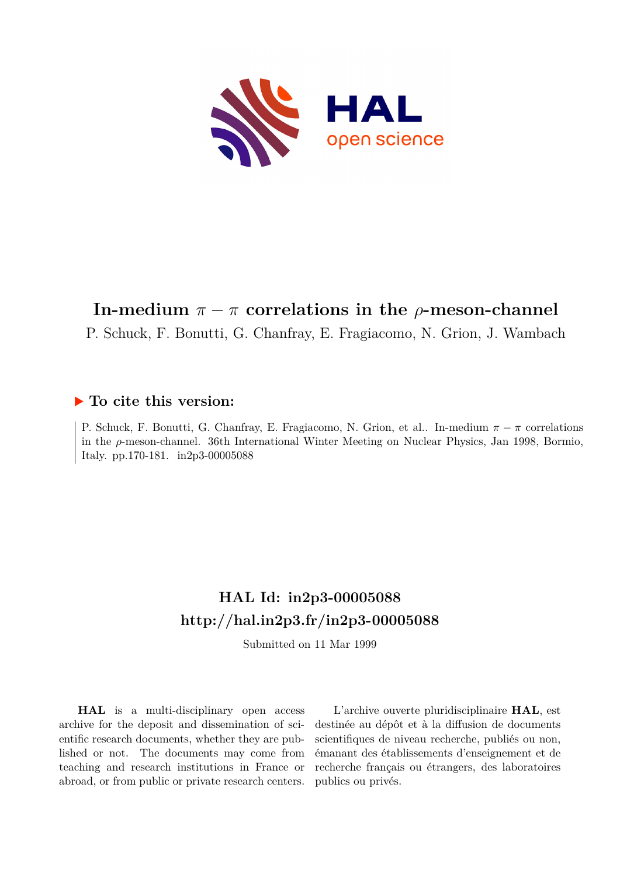

# **In-medium**  $\pi - \pi$  correlations in the *ρ*-meson-channel

P. Schuck, F. Bonutti, G. Chanfray, E. Fragiacomo, N. Grion, J. Wambach

## **To cite this version:**

P. Schuck, F. Bonutti, G. Chanfray, E. Fragiacomo, N. Grion, et al.. In-medium *π − π* correlations in the *ρ*-meson-channel. 36th International Winter Meeting on Nuclear Physics, Jan 1998, Bormio, Italy. pp.170-181.  $in2p3-00005088$ 

# **HAL Id: in2p3-00005088 <http://hal.in2p3.fr/in2p3-00005088>**

Submitted on 11 Mar 1999

**HAL** is a multi-disciplinary open access archive for the deposit and dissemination of scientific research documents, whether they are published or not. The documents may come from teaching and research institutions in France or abroad, or from public or private research centers.

L'archive ouverte pluridisciplinaire **HAL**, est destinée au dépôt et à la diffusion de documents scientifiques de niveau recherche, publiés ou non, émanant des établissements d'enseignement et de recherche français ou étrangers, des laboratoires publics ou privés.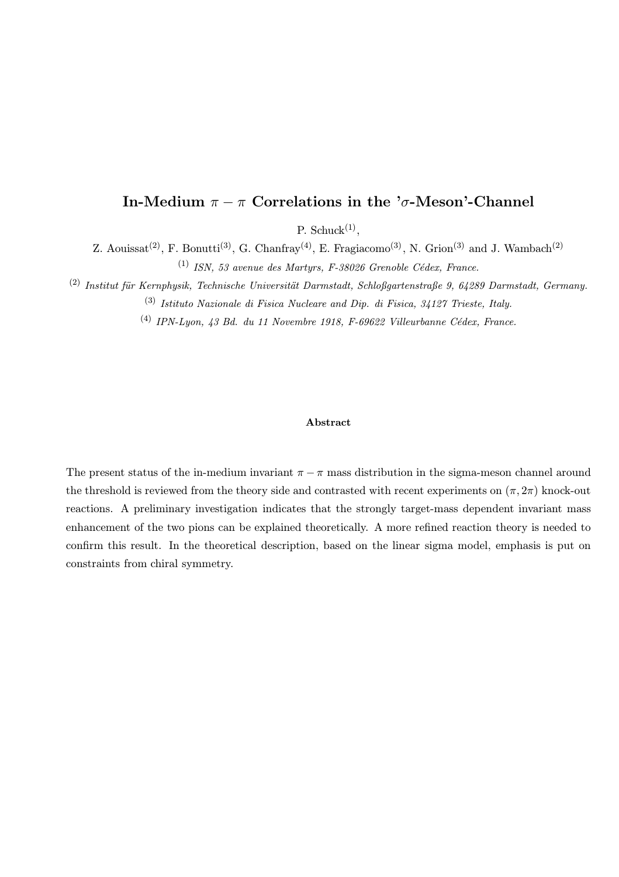## In-Medium  $\pi - \pi$  Correlations in the ' $\sigma$ -Meson'-Channel

P. Schuck $^{(1)}$ ,

Z. Aouissat<sup>(2)</sup>, F. Bonutti<sup>(3)</sup>, G. Chanfray<sup>(4)</sup>, E. Fragiacomo<sup>(3)</sup>, N. Grion<sup>(3)</sup> and J. Wambach<sup>(2)</sup>  $(1)$  ISN, 53 avenue des Martyrs, F-38026 Grenoble Cédex, France.

(2) Institut für Kernphysik, Technische Universität Darmstadt, Schloßgartenstraße 9, 64289 Darmstadt, Germany. (3) Istituto Nazionale di Fisica Nucleare and Dip. di Fisica, 34127 Trieste, Italy.

 $(4)$  IPN-Luon, 43 Bd. du 11 Novembre 1918, F-69622 Villeurbanne Cédex, France.

### Abstract

The present status of the in-medium invariant  $\pi - \pi$  mass distribution in the sigma-meson channel around the threshold is reviewed from the theory side and contrasted with recent experiments on  $(\pi, 2\pi)$  knock-out reactions. A preliminary investigation indicates that the strongly target-mass dependent invariant mass enhancement of the two pions can be explained theoretically. A more refined reaction theory is needed to confirm this result. In the theoretical description, based on the linear sigma model, emphasis is put on constraints from chiral symmetry.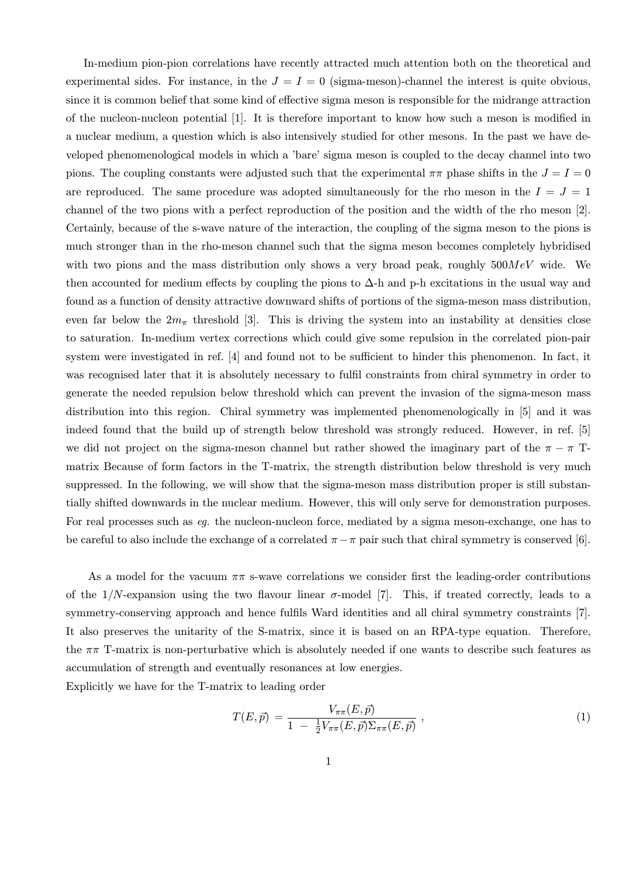In-medium pion-pion correlations have recently attracted much attention both on the theoretical and experimental sides. For instance, in the  $J = I = 0$  (sigma-meson)-channel the interest is quite obvious, since it is common belief that some kind of effective sigma meson is responsible for the midrange attraction of the nucleon-nucleon potential [1]. It is therefore important to know how such a meson is modified in a nuclear medium, a question which is also intensively studied for other mesons. In the past we have developed phenomenological models in which a 'bare' sigma meson is coupled to the decay channel into two pions. The coupling constants were adjusted such that the experimental  $\pi\pi$  phase shifts in the  $J = I = 0$ are reproduced. The same procedure was adopted simultaneously for the rho meson in the  $I = J = 1$ channel of the two pions with a perfect reproduction of the position and the width of the rho meson [2]. Certainly, because of the s-wave nature of the interaction, the coupling of the sigma meson to the pions is much stronger than in the rho-meson channel such that the sigma meson becomes completely hybridised with two pions and the mass distribution only shows a very broad peak, roughly  $500MeV$  wide. We then accounted for medium effects by coupling the pions to  $\Delta$ -h and p-h excitations in the usual way and found as a function of density attractive downward shifts of portions of the sigma-meson mass distribution, even far below the  $2m_{\pi}$  threshold [3]. This is driving the system into an instability at densities close to saturation. In-medium vertex corrections which could give some repulsion in the correlated pion-pair system were investigated in ref. [4] and found not to be sufficient to hinder this phenomenon. In fact, it was recognised later that it is absolutely necessary to fulfil constraints from chiral symmetry in order to generate the needed repulsion below threshold which can prevent the invasion of the sigma-meson mass distribution into this region. Chiral symmetry was implemented phenomenologically in [5] and it was indeed found that the build up of strength below threshold was strongly reduced. However, in ref. [5] we did not project on the sigma-meson channel but rather showed the imaginary part of the  $\pi - \pi$  Tmatrix Because of form factors in the T-matrix, the strength distribution below threshold is very much suppressed. In the following, we will show that the sigma-meson mass distribution proper is still substantially shifted downwards in the nuclear medium. However, this will only serve for demonstration purposes. For real processes such as eg. the nucleon-nucleon force, mediated by a sigma meson-exchange, one has to be careful to also include the exchange of a correlated  $\pi - \pi$  pair such that chiral symmetry is conserved [6].

As a model for the vacuum  $\pi\pi$  s-wave correlations we consider first the leading-order contributions of the  $1/N$ -expansion using the two flavour linear  $\sigma$ -model [7]. This, if treated correctly, leads to a symmetry-conserving approach and hence fulfils Ward identities and all chiral symmetry constraints [7]. It also preserves the unitarity of the S-matrix, since it is based on an RPA-type equation. Therefore, the  $\pi\pi$  T-matrix is non-perturbative which is absolutely needed if one wants to describe such features as accumulation of strength and eventually resonances at low energies.

Explicitly we have for the T-matrix to leading order

$$
T(E,\vec{p}) = \frac{V_{\pi\pi}(E,\vec{p})}{1 - \frac{1}{2}V_{\pi\pi}(E,\vec{p})\Sigma_{\pi\pi}(E,\vec{p})},
$$
\n(1)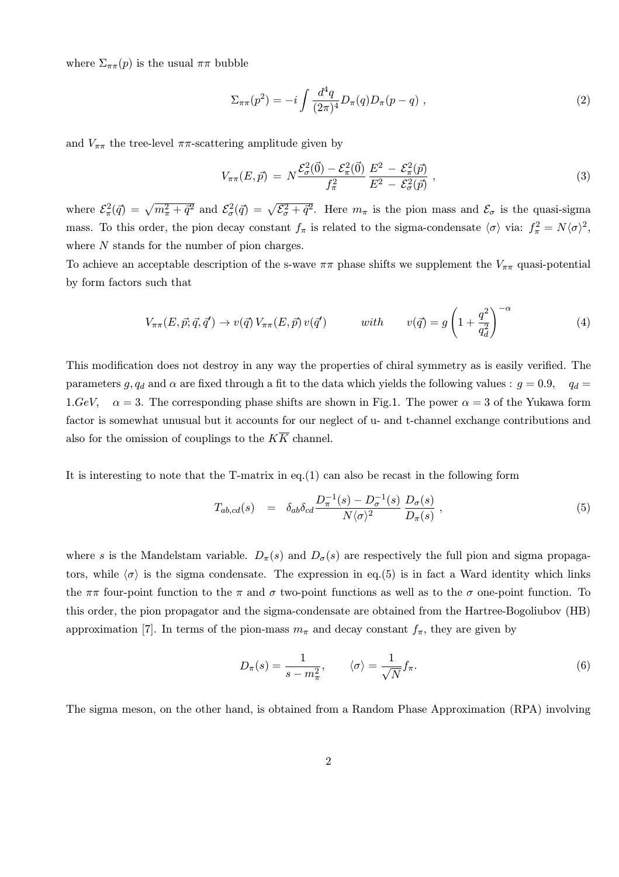where  $\Sigma_{\pi\pi}(p)$  is the usual  $\pi\pi$  bubble

$$
\Sigma_{\pi\pi}(p^2) = -i \int \frac{d^4q}{(2\pi)^4} D_{\pi}(q) D_{\pi}(p-q) , \qquad (2)
$$

and  $V_{\pi\pi}$  the tree-level  $\pi\pi$ -scattering amplitude given by

$$
V_{\pi\pi}(E,\vec{p}) = N \frac{\mathcal{E}_{\sigma}^{2}(\vec{0}) - \mathcal{E}_{\pi}^{2}(\vec{0})}{f_{\pi}^{2}} \frac{E^{2} - \mathcal{E}_{\pi}^{2}(\vec{p})}{E^{2} - \mathcal{E}_{\sigma}^{2}(\vec{p})},
$$
\n(3)

where  $\mathcal{E}_{\pi}^2(\vec{q}) = \sqrt{m_{\pi}^2 + \vec{q}^2}$  and  $\mathcal{E}_{\sigma}^2(\vec{q}) = \sqrt{\mathcal{E}_{\sigma}^2 + \vec{q}^2}$ . Here  $m_{\pi}$  is the pion mass and  $\mathcal{E}_{\sigma}$  is the quasi-sigma mass. To this order, the pion decay constant  $f_{\pi}$  is related to the sigma-condensate  $\langle \sigma \rangle$  via:  $f_{\pi}^2 = N \langle \sigma \rangle^2$ , where N stands for the number of pion charges.

To achieve an acceptable description of the s-wave  $\pi\pi$  phase shifts we supplement the  $V_{\pi\pi}$  quasi-potential by form factors such that

$$
V_{\pi\pi}(E,\vec{p};\vec{q},\vec{q}') \to v(\vec{q}) V_{\pi\pi}(E,\vec{p}) v(\vec{q}') \qquad \text{with} \qquad v(\vec{q}) = g\left(1 + \frac{q^2}{q_d^2}\right)^{-\alpha} \tag{4}
$$

This modification does not destroy in any way the properties of chiral symmetry as is easily verified. The parameters g,  $q_d$  and  $\alpha$  are fixed through a fit to the data which yields the following values :  $g = 0.9$ ,  $q_d =$ 1.GeV,  $\alpha = 3$ . The corresponding phase shifts are shown in Fig.1. The power  $\alpha = 3$  of the Yukawa form factor is somewhat unusual but it accounts for our neglect of u- and t-channel exchange contributions and also for the omission of couplings to the  $K\overline{K}$  channel.

It is interesting to note that the T-matrix in eq.(1) can also be recast in the following form

$$
T_{ab,cd}(s) = \delta_{ab}\delta_{cd}\frac{D_{\pi}^{-1}(s) - D_{\sigma}^{-1}(s)}{N\langle\sigma\rangle^2} \frac{D_{\sigma}(s)}{D_{\pi}(s)},
$$
\n(5)

where s is the Mandelstam variable.  $D_{\pi}(s)$  and  $D_{\sigma}(s)$  are respectively the full pion and sigma propagators, while  $\langle \sigma \rangle$  is the sigma condensate. The expression in eq.(5) is in fact a Ward identity which links the  $\pi\pi$  four-point function to the  $\pi$  and  $\sigma$  two-point functions as well as to the  $\sigma$  one-point function. To this order, the pion propagator and the sigma-condensate are obtained from the Hartree-Bogoliubov (HB) approximation [7]. In terms of the pion-mass  $m_{\pi}$  and decay constant  $f_{\pi}$ , they are given by

$$
D_{\pi}(s) = \frac{1}{s - m_{\pi}^2}, \qquad \langle \sigma \rangle = \frac{1}{\sqrt{N}} f_{\pi}.
$$
 (6)

The sigma meson, on the other hand, is obtained from a Random Phase Approximation (RPA) involving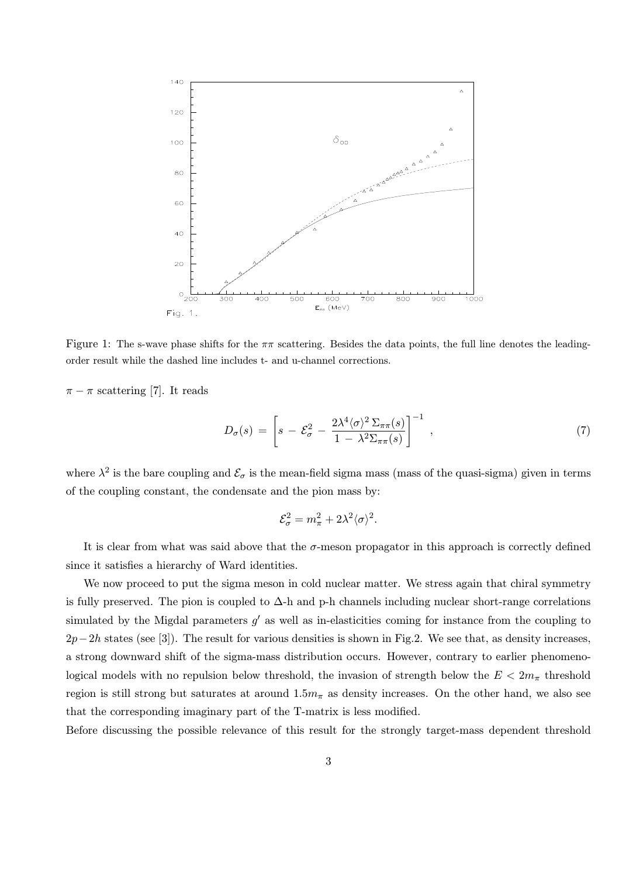

Figure 1: The s-wave phase shifts for the  $\pi\pi$  scattering. Besides the data points, the full line denotes the leadingorder result while the dashed line includes t- and u-channel corrections.

 $\pi - \pi$  scattering [7]. It reads

$$
D_{\sigma}(s) = \left[ s - \mathcal{E}_{\sigma}^2 - \frac{2\lambda^4 \langle \sigma \rangle^2 \Sigma_{\pi\pi}(s)}{1 - \lambda^2 \Sigma_{\pi\pi}(s)} \right]^{-1}, \qquad (7)
$$

where  $\lambda^2$  is the bare coupling and  $\mathcal{E}_{\sigma}$  is the mean-field sigma mass (mass of the quasi-sigma) given in terms of the coupling constant, the condensate and the pion mass by:

$$
\mathcal{E}_{\sigma}^2 = m_{\pi}^2 + 2\lambda^2 \langle \sigma \rangle^2.
$$

It is clear from what was said above that the  $\sigma$ -meson propagator in this approach is correctly defined since it satisfies a hierarchy of Ward identities.

We now proceed to put the sigma meson in cold nuclear matter. We stress again that chiral symmetry is fully preserved. The pion is coupled to  $\Delta$ -h and p-h channels including nuclear short-range correlations simulated by the Migdal parameters  $g'$  as well as in-elasticities coming for instance from the coupling to  $2p-2h$  states (see [3]). The result for various densities is shown in Fig.2. We see that, as density increases, a strong downward shift of the sigma-mass distribution occurs. However, contrary to earlier phenomenological models with no repulsion below threshold, the invasion of strength below the  $E < 2m<sub>\pi</sub>$  threshold region is still strong but saturates at around  $1.5m_{\pi}$  as density increases. On the other hand, we also see that the corresponding imaginary part of the T-matrix is less modified.

Before discussing the possible relevance of this result for the strongly target-mass dependent threshold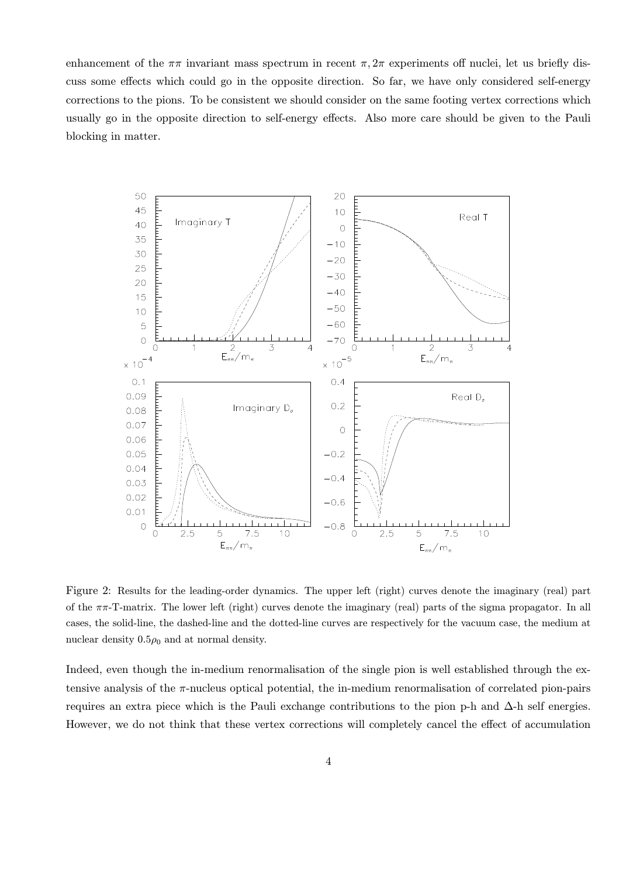enhancement of the  $\pi\pi$  invariant mass spectrum in recent  $\pi$ ,  $2\pi$  experiments off nuclei, let us briefly discuss some effects which could go in the opposite direction. So far, we have only considered self-energy corrections to the pions. To be consistent we should consider on the same footing vertex corrections which usually go in the opposite direction to self-energy effects. Also more care should be given to the Pauli blocking in matter.



Figure 2: Results for the leading-order dynamics. The upper left (right) curves denote the imaginary (real) part of the  $\pi\pi$ -T-matrix. The lower left (right) curves denote the imaginary (real) parts of the sigma propagator. In all cases, the solid-line, the dashed-line and the dotted-line curves are respectively for the vacuum case, the medium at nuclear density  $0.5\rho_0$  and at normal density.

Indeed, even though the in-medium renormalisation of the single pion is well established through the extensive analysis of the  $\pi$ -nucleus optical potential, the in-medium renormalisation of correlated pion-pairs requires an extra piece which is the Pauli exchange contributions to the pion p-h and  $\Delta$ -h self energies. However, we do not think that these vertex corrections will completely cancel the effect of accumulation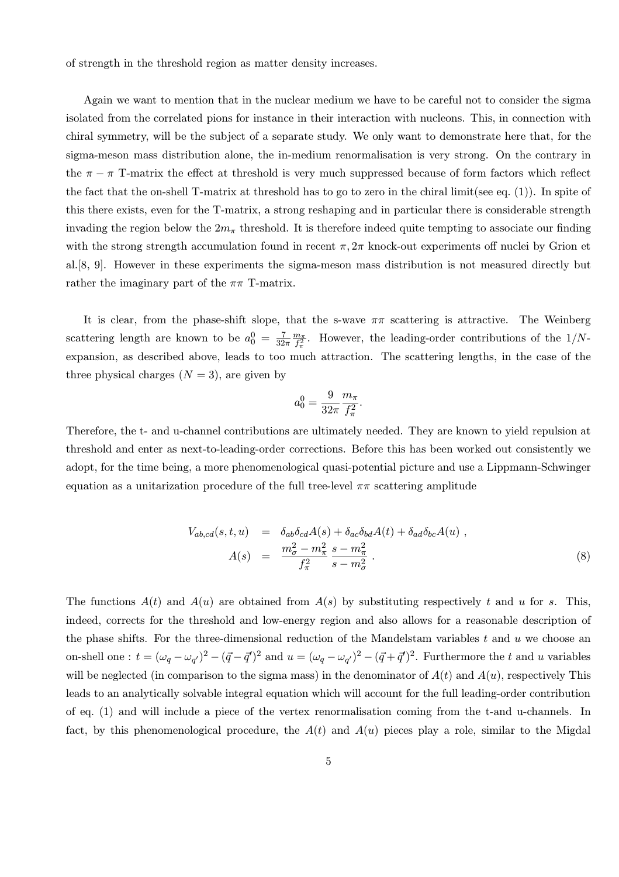of strength in the threshold region as matter density increases.

Again we want to mention that in the nuclear medium we have to be careful not to consider the sigma isolated from the correlated pions for instance in their interaction with nucleons. This, in connection with chiral symmetry, will be the subject of a separate study. We only want to demonstrate here that, for the sigma-meson mass distribution alone, the in-medium renormalisation is very strong. On the contrary in the  $\pi - \pi$  T-matrix the effect at threshold is very much suppressed because of form factors which reflect the fact that the on-shell T-matrix at threshold has to go to zero in the chiral limit(see eq. (1)). In spite of this there exists, even for the T-matrix, a strong reshaping and in particular there is considerable strength invading the region below the  $2m_{\pi}$  threshold. It is therefore indeed quite tempting to associate our finding with the strong strength accumulation found in recent  $\pi$ ,  $2\pi$  knock-out experiments off nuclei by Grion et al.[8, 9]. However in these experiments the sigma-meson mass distribution is not measured directly but rather the imaginary part of the  $\pi\pi$  T-matrix.

It is clear, from the phase-shift slope, that the s-wave  $\pi\pi$  scattering is attractive. The Weinberg scattering length are known to be  $a_0^0 = \frac{7}{32\pi} \frac{m_\pi}{f_\pi^2}$ . However, the leading-order contributions of the 1/Nexpansion, as described above, leads to too much attraction. The scattering lengths, in the case of the three physical charges  $(N = 3)$ , are given by

$$
a_0^0 = \frac{9}{32\pi} \frac{m_\pi}{f_\pi^2}.
$$

Therefore, the t- and u-channel contributions are ultimately needed. They are known to yield repulsion at threshold and enter as next-to-leading-order corrections. Before this has been worked out consistently we adopt, for the time being, a more phenomenological quasi-potential picture and use a Lippmann-Schwinger equation as a unitarization procedure of the full tree-level  $\pi\pi$  scattering amplitude

$$
V_{ab,cd}(s,t,u) = \delta_{ab}\delta_{cd}A(s) + \delta_{ac}\delta_{bd}A(t) + \delta_{ad}\delta_{bc}A(u) ,
$$
  

$$
A(s) = \frac{m_{\sigma}^2 - m_{\pi}^2}{f_{\pi}^2} \frac{s - m_{\pi}^2}{s - m_{\sigma}^2} .
$$
 (8)

The functions  $A(t)$  and  $A(u)$  are obtained from  $A(s)$  by substituting respectively t and u for s. This, indeed, corrects for the threshold and low-energy region and also allows for a reasonable description of the phase shifts. For the three-dimensional reduction of the Mandelstam variables  $t$  and  $u$  we choose an on-shell one :  $t = (\omega_q - \omega_{q'})^2 - (\vec{q} - \vec{q}')^2$  and  $u = (\omega_q - \omega_{q'})^2 - (\vec{q} + \vec{q}')^2$ . Furthermore the t and u variables will be neglected (in comparison to the sigma mass) in the denominator of  $A(t)$  and  $A(u)$ , respectively This leads to an analytically solvable integral equation which will account for the full leading-order contribution of eq. (1) and will include a piece of the vertex renormalisation coming from the t-and u-channels. In fact, by this phenomenological procedure, the  $A(t)$  and  $A(u)$  pieces play a role, similar to the Migdal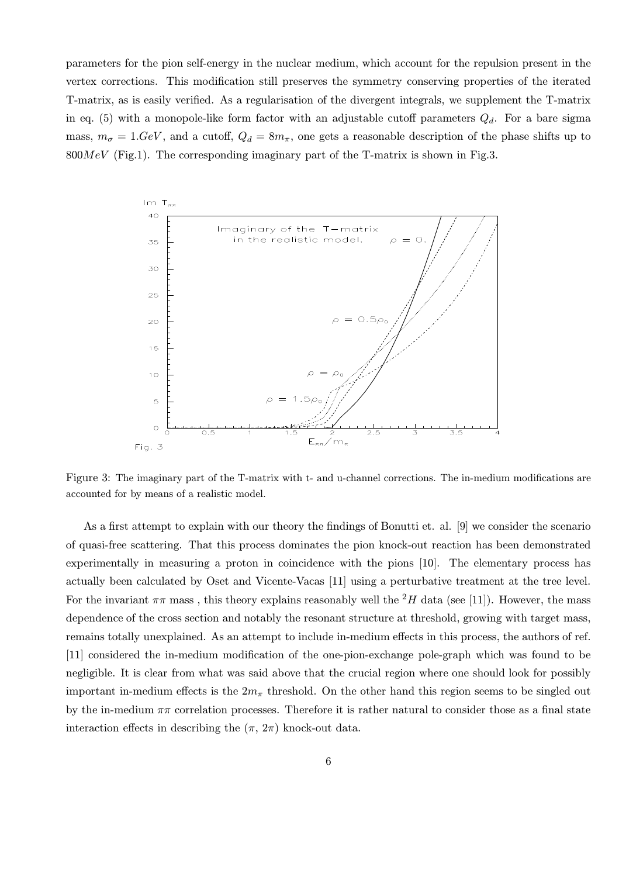parameters for the pion self-energy in the nuclear medium, which account for the repulsion present in the vertex corrections. This modification still preserves the symmetry conserving properties of the iterated T-matrix, as is easily verified. As a regularisation of the divergent integrals, we supplement the T-matrix in eq. (5) with a monopole-like form factor with an adjustable cutoff parameters  $Q_d$ . For a bare sigma mass,  $m_{\sigma} = 1.$  GeV, and a cutoff,  $Q_d = 8m_{\pi}$ , one gets a reasonable description of the phase shifts up to  $800MeV$  (Fig.1). The corresponding imaginary part of the T-matrix is shown in Fig.3.



Figure 3: The imaginary part of the T-matrix with t- and u-channel corrections. The in-medium modifications are accounted for by means of a realistic model.

As a first attempt to explain with our theory the findings of Bonutti et. al. [9] we consider the scenario of quasi-free scattering. That this process dominates the pion knock-out reaction has been demonstrated experimentally in measuring a proton in coincidence with the pions [10]. The elementary process has actually been calculated by Oset and Vicente-Vacas [11] using a perturbative treatment at the tree level. For the invariant  $\pi\pi$  mass, this theory explains reasonably well the <sup>2</sup>H data (see [11]). However, the mass dependence of the cross section and notably the resonant structure at threshold, growing with target mass, remains totally unexplained. As an attempt to include in-medium effects in this process, the authors of ref. [11] considered the in-medium modification of the one-pion-exchange pole-graph which was found to be negligible. It is clear from what was said above that the crucial region where one should look for possibly important in-medium effects is the  $2m_{\pi}$  threshold. On the other hand this region seems to be singled out by the in-medium  $\pi\pi$  correlation processes. Therefore it is rather natural to consider those as a final state interaction effects in describing the  $(\pi, 2\pi)$  knock-out data.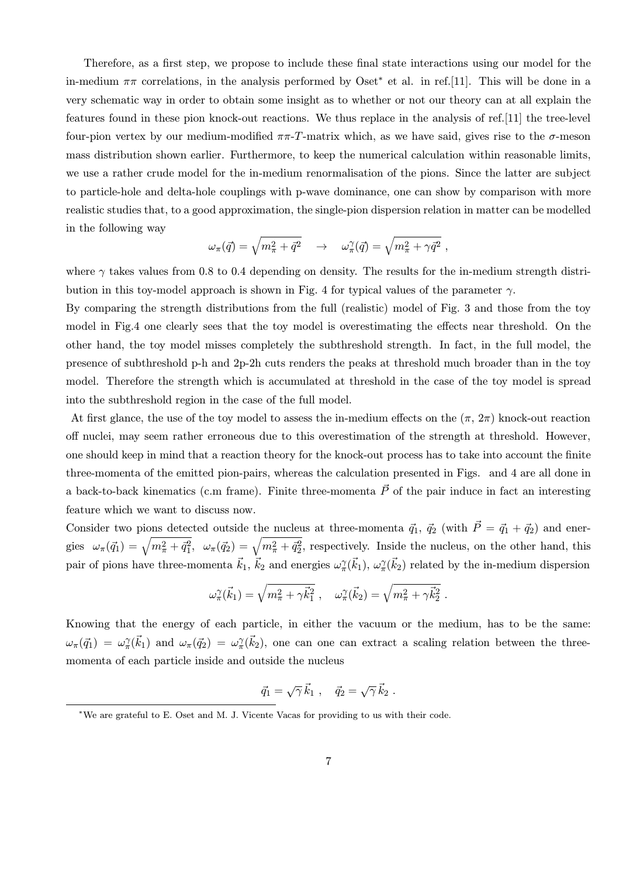Therefore, as a first step, we propose to include these final state interactions using our model for the in-medium  $\pi\pi$  correlations, in the analysis performed by Oset<sup>\*</sup> et al. in ref.[11]. This will be done in a very schematic way in order to obtain some insight as to whether or not our theory can at all explain the features found in these pion knock-out reactions. We thus replace in the analysis of ref.[11] the tree-level four-pion vertex by our medium-modified  $\pi\pi$ -T-matrix which, as we have said, gives rise to the  $\sigma$ -meson mass distribution shown earlier. Furthermore, to keep the numerical calculation within reasonable limits, we use a rather crude model for the in-medium renormalisation of the pions. Since the latter are subject to particle-hole and delta-hole couplings with p-wave dominance, one can show by comparison with more realistic studies that, to a good approximation, the single-pion dispersion relation in matter can be modelled in the following way

$$
\omega_\pi(\vec{q}) = \sqrt{m_\pi^2 + \vec{q}^2} \quad \rightarrow \quad \omega_\pi^\gamma(\vec{q}) = \sqrt{m_\pi^2 + \gamma \vec{q}^2} \ ,
$$

where  $\gamma$  takes values from 0.8 to 0.4 depending on density. The results for the in-medium strength distribution in this toy-model approach is shown in Fig. 4 for typical values of the parameter  $\gamma$ .

By comparing the strength distributions from the full (realistic) model of Fig. 3 and those from the toy model in Fig.4 one clearly sees that the toy model is overestimating the effects near threshold. On the other hand, the toy model misses completely the subthreshold strength. In fact, in the full model, the presence of subthreshold p-h and 2p-2h cuts renders the peaks at threshold much broader than in the toy model. Therefore the strength which is accumulated at threshold in the case of the toy model is spread into the subthreshold region in the case of the full model.

At first glance, the use of the toy model to assess the in-medium effects on the  $(\pi, 2\pi)$  knock-out reaction off nuclei, may seem rather erroneous due to this overestimation of the strength at threshold. However, one should keep in mind that a reaction theory for the knock-out process has to take into account the finite three-momenta of the emitted pion-pairs, whereas the calculation presented in Figs. and 4 are all done in a back-to-back kinematics (c.m frame). Finite three-momenta  $\vec{P}$  of the pair induce in fact an interesting feature which we want to discuss now.

Consider two pions detected outside the nucleus at three-momenta  $\vec{q}_1$ ,  $\vec{q}_2$  (with  $\vec{P} = \vec{q}_1 + \vec{q}_2$ ) and energies  $\omega_{\pi}(\vec{q}_1) = \sqrt{m_{\pi}^2 + \vec{q}_1^2}$ ,  $\omega_{\pi}(\vec{q}_2) = \sqrt{m_{\pi}^2 + \vec{q}_2^2}$ , respectively. Inside the nucleus, on the other hand, this pair of pions have three-momenta  $\vec{k}_1$ ,  $\vec{k}_2$  and energies  $\omega_\pi^\gamma(\vec{k}_1)$ ,  $\omega_\pi^\gamma(\vec{k}_2)$  related by the in-medium dispersion

$$
\omega_{\pi}^{\gamma}(\vec{k}_1) = \sqrt{m_{\pi}^2 + \gamma \vec{k}_1^2} , \quad \omega_{\pi}^{\gamma}(\vec{k}_2) = \sqrt{m_{\pi}^2 + \gamma \vec{k}_2^2} .
$$

Knowing that the energy of each particle, in either the vacuum or the medium, has to be the same:  $\omega_{\pi}(\vec{q}_1) = \omega_{\pi}^{\gamma}(\vec{k}_1)$  and  $\omega_{\pi}(\vec{q}_2) = \omega_{\pi}^{\gamma}(\vec{k}_2)$ , one can one can extract a scaling relation between the threemomenta of each particle inside and outside the nucleus

$$
\vec{q}_1 = \sqrt{\gamma} \,\vec{k}_1 \;, \quad \vec{q}_2 = \sqrt{\gamma} \,\vec{k}_2 \;.
$$

<sup>∗</sup>We are grateful to E. Oset and M. J. Vicente Vacas for providing to us with their code.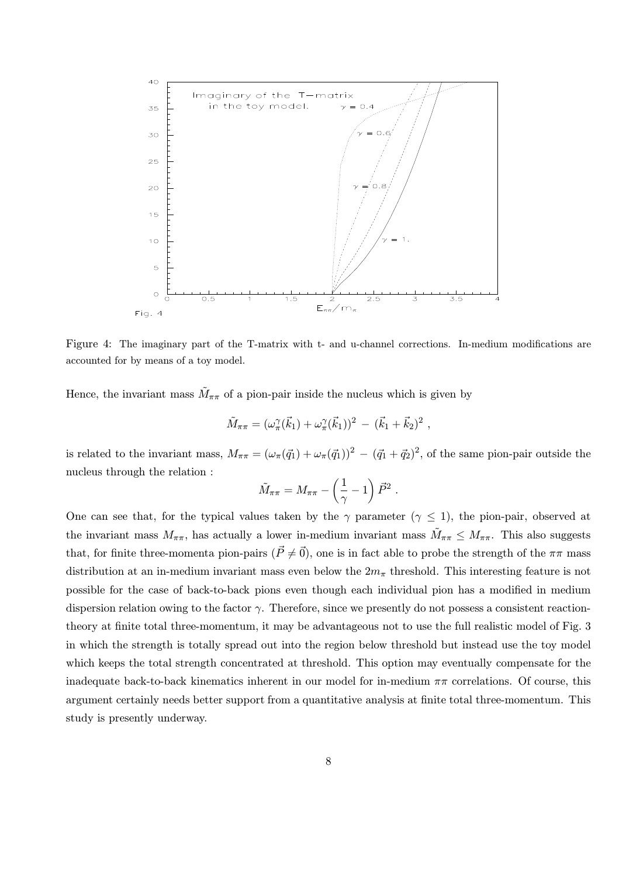

Figure 4: The imaginary part of the T-matrix with t- and u-channel corrections. In-medium modifications are accounted for by means of a toy model.

Hence, the invariant mass  $\tilde{M}_{\pi\pi}$  of a pion-pair inside the nucleus which is given by

$$
\tilde{M}_{\pi\pi} = (\omega_{\pi}^{\gamma}(\vec{k}_1) + \omega_{\pi}^{\gamma}(\vec{k}_1))^2 - (\vec{k}_1 + \vec{k}_2)^2 ,
$$

is related to the invariant mass,  $M_{\pi\pi} = (\omega_{\pi}(\vec{q}_1) + \omega_{\pi}(\vec{q}_1))^2 - (\vec{q}_1 + \vec{q}_2)^2$ , of the same pion-pair outside the nucleus through the relation :

$$
\tilde{M}_{\pi\pi} = M_{\pi\pi} - \left(\frac{1}{\gamma} - 1\right) \vec{P}^2.
$$

One can see that, for the typical values taken by the  $\gamma$  parameter ( $\gamma \leq 1$ ), the pion-pair, observed at the invariant mass  $M_{\pi\pi}$ , has actually a lower in-medium invariant mass  $\tilde{M}_{\pi\pi} \leq M_{\pi\pi}$ . This also suggests that, for finite three-momenta pion-pairs  $(\vec{P} \neq \vec{0})$ , one is in fact able to probe the strength of the  $\pi\pi$  mass distribution at an in-medium invariant mass even below the  $2m<sub>\pi</sub>$  threshold. This interesting feature is not possible for the case of back-to-back pions even though each individual pion has a modified in medium dispersion relation owing to the factor  $\gamma$ . Therefore, since we presently do not possess a consistent reactiontheory at finite total three-momentum, it may be advantageous not to use the full realistic model of Fig. 3 in which the strength is totally spread out into the region below threshold but instead use the toy model which keeps the total strength concentrated at threshold. This option may eventually compensate for the inadequate back-to-back kinematics inherent in our model for in-medium  $\pi\pi$  correlations. Of course, this argument certainly needs better support from a quantitative analysis at finite total three-momentum. This study is presently underway.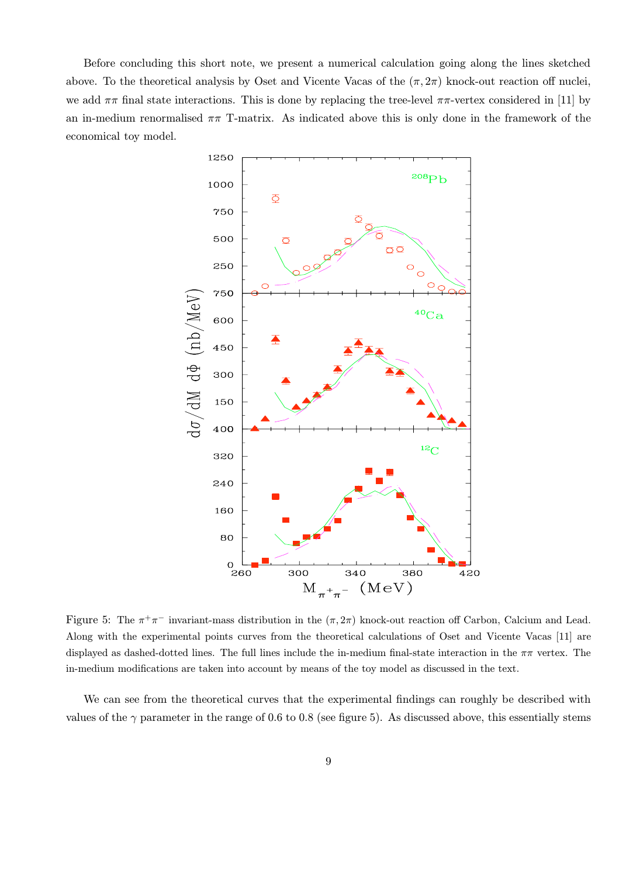Before concluding this short note, we present a numerical calculation going along the lines sketched above. To the theoretical analysis by Oset and Vicente Vacas of the  $(\pi, 2\pi)$  knock-out reaction off nuclei, we add  $\pi\pi$  final state interactions. This is done by replacing the tree-level  $\pi\pi$ -vertex considered in [11] by an in-medium renormalised  $\pi\pi$  T-matrix. As indicated above this is only done in the framework of the economical toy model.



Figure 5: The  $\pi^+\pi^-$  invariant-mass distribution in the  $(\pi, 2\pi)$  knock-out reaction off Carbon, Calcium and Lead. Along with the experimental points curves from the theoretical calculations of Oset and Vicente Vacas [11] are displayed as dashed-dotted lines. The full lines include the in-medium final-state interaction in the  $\pi\pi$  vertex. The in-medium modifications are taken into account by means of the toy model as discussed in the text.

We can see from the theoretical curves that the experimental findings can roughly be described with values of the  $\gamma$  parameter in the range of 0.6 to 0.8 (see figure 5). As discussed above, this essentially stems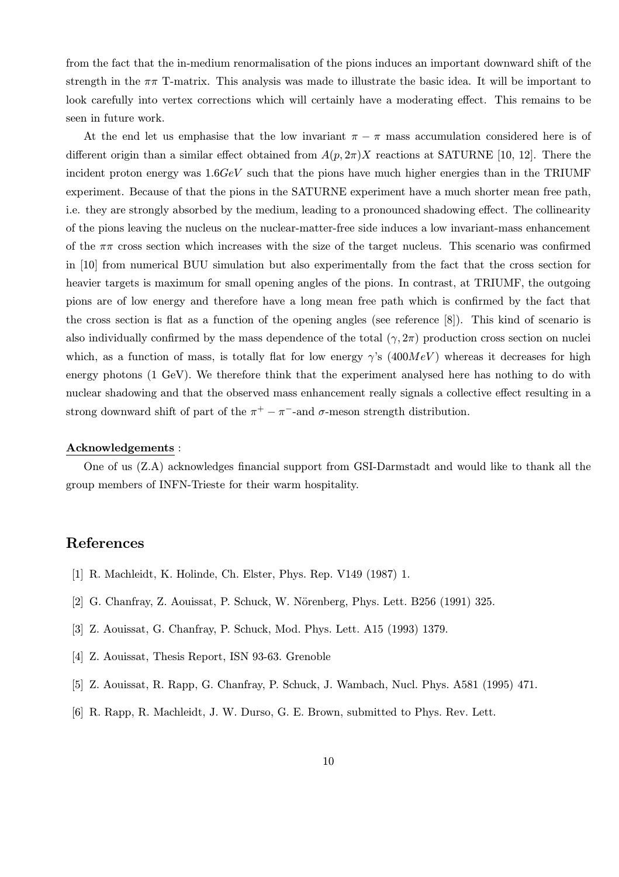from the fact that the in-medium renormalisation of the pions induces an important downward shift of the strength in the  $\pi\pi$  T-matrix. This analysis was made to illustrate the basic idea. It will be important to look carefully into vertex corrections which will certainly have a moderating effect. This remains to be seen in future work.

At the end let us emphasise that the low invariant  $\pi - \pi$  mass accumulation considered here is of different origin than a similar effect obtained from  $A(p, 2\pi)X$  reactions at SATURNE [10, 12]. There the incident proton energy was  $1.6GeV$  such that the pions have much higher energies than in the TRIUMF experiment. Because of that the pions in the SATURNE experiment have a much shorter mean free path, i.e. they are strongly absorbed by the medium, leading to a pronounced shadowing effect. The collinearity of the pions leaving the nucleus on the nuclear-matter-free side induces a low invariant-mass enhancement of the  $\pi\pi$  cross section which increases with the size of the target nucleus. This scenario was confirmed in [10] from numerical BUU simulation but also experimentally from the fact that the cross section for heavier targets is maximum for small opening angles of the pions. In contrast, at TRIUMF, the outgoing pions are of low energy and therefore have a long mean free path which is confirmed by the fact that the cross section is flat as a function of the opening angles (see reference [8]). This kind of scenario is also individually confirmed by the mass dependence of the total  $(\gamma, 2\pi)$  production cross section on nuclei which, as a function of mass, is totally flat for low energy  $\gamma$ 's (400MeV) whereas it decreases for high energy photons (1 GeV). We therefore think that the experiment analysed here has nothing to do with nuclear shadowing and that the observed mass enhancement really signals a collective effect resulting in a strong downward shift of part of the  $\pi^+ - \pi^-$ -and  $\sigma$ -meson strength distribution.

#### Acknowledgements :

One of us (Z.A) acknowledges financial support from GSI-Darmstadt and would like to thank all the group members of INFN-Trieste for their warm hospitality.

### References

- [1] R. Machleidt, K. Holinde, Ch. Elster, Phys. Rep. V149 (1987) 1.
- [2] G. Chanfray, Z. Aouissat, P. Schuck, W. Nörenberg, Phys. Lett. B256 (1991) 325.
- [3] Z. Aouissat, G. Chanfray, P. Schuck, Mod. Phys. Lett. A15 (1993) 1379.
- [4] Z. Aouissat, Thesis Report, ISN 93-63. Grenoble
- [5] Z. Aouissat, R. Rapp, G. Chanfray, P. Schuck, J. Wambach, Nucl. Phys. A581 (1995) 471.
- [6] R. Rapp, R. Machleidt, J. W. Durso, G. E. Brown, submitted to Phys. Rev. Lett.